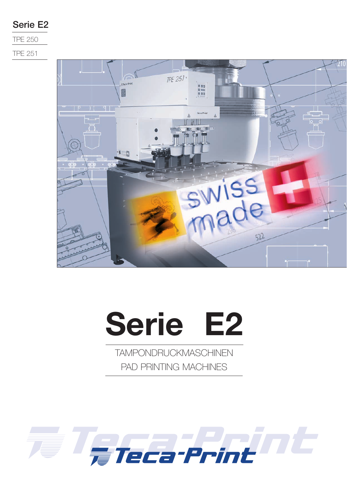## **Serie E2**

TPE 250

TPE 251



# **Serie E2**

TAMPONDRUCKMASCHINEN PAD PRINTING MACHINES

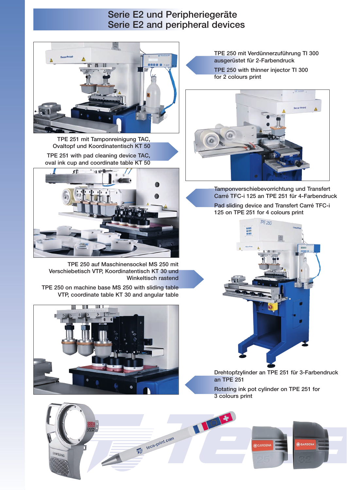### **Serie E2 und Peripheriegeräte Serie E2 and peripheral devices**



**TPE 251 mit Tamponreinigung TAC, Ovaltopf und Koordinatentisch KT 50 TPE 251 with pad cleaning device TAC, oval ink cup and coordinate table KT 50**



**TPE 250 auf Maschinensockel MS 250 mit Verschiebetisch VTP, Koordinatentisch KT 30 und Winkeltisch rastend**

**TPE 250 on machine base MS 250 with sliding table VTP, coordinate table KT 30 and angular table**



**TPE 250 mit Verdünnerzuführung TI 300 ausgerüstet für 2-Farbendruck TPE 250 with thinner injector TI 300 for 2 colours print**



**Tamponverschiebevorrichtung und Transfert Carré TFC-i 125 an TPE 251 für 4-Farbendruck**

**Pad sliding device and Transfert Carré TFC-i 125 on TPE 251 for 4 colours print**



**Drehtopfzylinder an TPE 251 für 3-Farbendruck an TPE 251**

**Rotating ink pot cylinder on TPE 251 for 3 colours print** 

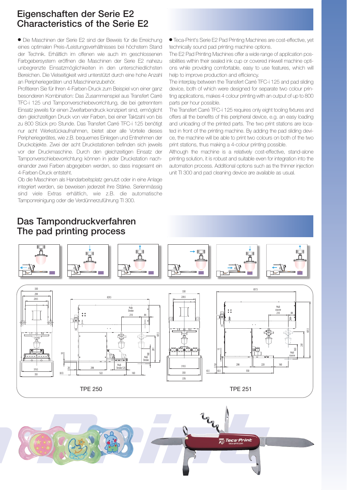### **Eigenschaften der Serie E2 Characteristics of the Serie E2**

- Die Maschinen der Serie E2 sind der Beweis für die Erreichung eines optimalen Preis-/Leistungsverhältnisses bei höchstem Stand der Technik. Erhältlich im offenen wie auch im geschlossenen Farbgebersystem eröffnen die Maschinen der Serie E2 nahezu unbegrenzte Einsatzmöglichkeiten in den unterschiedlichsten Bereichen. Die Vielseitigkeit wird unterstützt durch eine hohe Anzahl an Peripheriegeräten und Maschinenzubehör.

Profitieren Sie für Ihren 4-Farben-Druck zum Beispiel von einer ganz besonderen Kombination: Das Zusammenspiel aus Transfert Carré TFC-i 125 und Tamponverschiebevorrichtung, die bei getrenntem Einsatz jeweils für einen Zweifarbendruck konzipiert sind, ermöglicht den gleichzeitigen Druck von vier Farben, bei einer Taktzahl von bis zu 800 Stück pro Stunde. Das Transfert Carré TFC-i 125 benötigt nur acht Werkstückaufnahmen, bietet aber alle Vorteile dieses Peripheriegerätes, wie z.B. bequemes Einlegen und Entnehmen der Druckobjekte. Zwei der acht Druckstationen befinden sich jeweils vor der Druckmaschine. Durch den gleichzeitigen Einsatz der Tamponverschiebevorrichtung können in jeder Druckstation nacheinander zwei Farben abgegeben werden, so dass insgesamt ein 4-Farben-Druck entsteht.

Ob die Maschinen als Handarbeitsplatz genutzt oder in eine Anlage integriert werden, sie beweisen jederzeit ihre Stärke. Serienmässig sind viele Extras erhältlich, wie z.B. die automatische Tamponreinigung oder die Verdünnerzuführung TI 300.

- Teca-Print's Serie E2 Pad Printing Machines are cost-effective, yet technically sound pad printing machine options.

The E2 Pad Printing Machines offer a wide range of application possibilities within their sealed ink cup or covered inkwell machine options while providing comfortable, easy to use features, which will help to improve production and efficiency.

The interplay between the Transfert Carré TFC-i 125 and pad sliding device, both of which were designed for separate two colour printing applications, makes 4 colour printing with an output of up to 800 parts per hour possible.

The Transfert Carré TFC-i 125 requires only eight tooling fixtures and offers all the benefits of this peripheral device, e.g. an easy loading and unloading of the printed parts. The two print stations are located in front of the printing machine. By adding the pad sliding device, the machine will be able to print two colours on both of the two print stations, thus making a 4-colour printing possible.

Although the machine is a relatively cost-effective, stand-alone printing solution, it is robust and suitable even for integration into the automation process. Additional options such as the thinner injection unit TI 300 and pad cleaning device are available as usual.





## **Das Tampondruckverfahren The pad printing process**